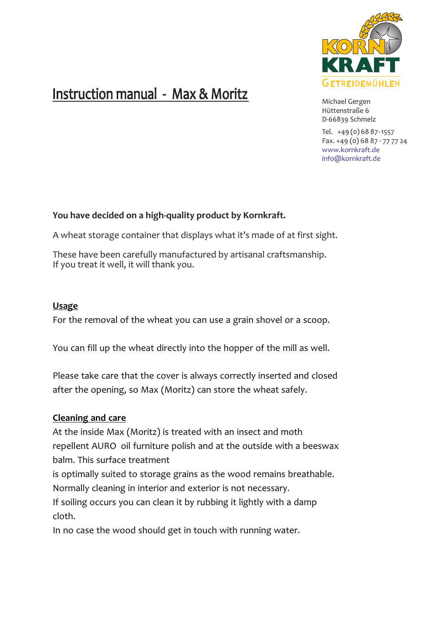

## Instruction manual - Max & Moritz

Michael Gergen Hüttenstraße 6 D-66839 Schmelz

Tel. +49 (0) 68 87-1557 Fax. +49 (0) 68 87 - 77 77 24 www.kornkraft.de info@kornkraft.de

## **You have decided on a high-quality product by Kornkraft.**

A wheat storage container that displays what it's made of at first sight.

These have been carefully manufactured by artisanal craftsmanship. If you treat it well, it will thank you.

## **Usage**

For the removal of the wheat you can use a grain shovel or a scoop.

You can fill up the wheat directly into the hopper of the mill as well.

Please take care that the cover is always correctly inserted and closed after the opening, so Max (Moritz) can store the wheat safely.

## **Cleaning and care**

At the inside Max (Moritz) is treated with an insect and moth repellent AURO oil furniture polish and at the outside with a beeswax balm. This surface treatment

is optimally suited to storage grains as the wood remains breathable.

Normally cleaning in interior and exterior is not necessary.

If soiling occurs you can clean it by rubbing it lightly with a damp cloth.

In no case the wood should get in touch with running water.